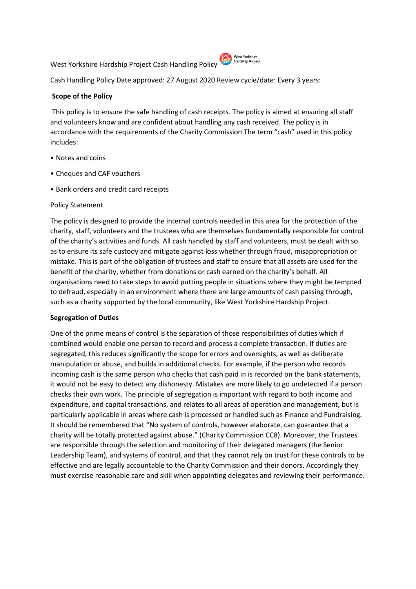West Yorkshire Hardship Project Cash Handling Policy (C) Nest Yorkshire



Cash Handling Policy Date approved: 27 August 2020 Review cycle/date: Every 3 years:

## **Scope of the Policy**

This policy is to ensure the safe handling of cash receipts. The policy is aimed at ensuring all staff and volunteers know and are confident about handling any cash received. The policy is in accordance with the requirements of the Charity Commission The term "cash" used in this policy includes:

- Notes and coins
- Cheques and CAF vouchers
- Bank orders and credit card receipts

## Policy Statement

The policy is designed to provide the internal controls needed in this area for the protection of the charity, staff, volunteers and the trustees who are themselves fundamentally responsible for control of the charity's activities and funds. All cash handled by staff and volunteers, must be dealt with so as to ensure its safe custody and mitigate against loss whether through fraud, misappropriation or mistake. This is part of the obligation of trustees and staff to ensure that all assets are used for the benefit of the charity, whether from donations or cash earned on the charity's behalf. All organisations need to take steps to avoid putting people in situations where they might be tempted to defraud, especially in an environment where there are large amounts of cash passing through, such as a charity supported by the local community, like West Yorkshire Hardship Project.

## **Segregation of Duties**

One of the prime means of control is the separation of those responsibilities of duties which if combined would enable one person to record and process a complete transaction. If duties are segregated, this reduces significantly the scope for errors and oversights, as well as deliberate manipulation or abuse, and builds in additional checks. For example, if the person who records incoming cash is the same person who checks that cash paid in is recorded on the bank statements, it would not be easy to detect any dishonesty. Mistakes are more likely to go undetected if a person checks their own work. The principle of segregation is important with regard to both income and expenditure, and capital transactions, and relates to all areas of operation and management, but is particularly applicable in areas where cash is processed or handled such as Finance and Fundraising. It should be remembered that "No system of controls, however elaborate, can guarantee that a charity will be totally protected against abuse." (Charity Commission CC8). Moreover, the Trustees are responsible through the selection and monitoring of their delegated managers (the Senior Leadership Team), and systems of control, and that they cannot rely on trust for these controls to be effective and are legally accountable to the Charity Commission and their donors. Accordingly they must exercise reasonable care and skill when appointing delegates and reviewing their performance.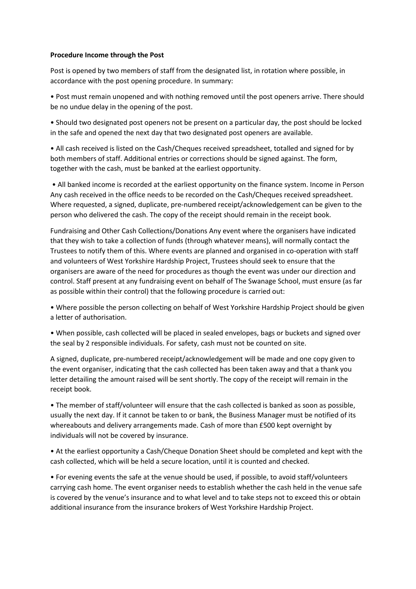## **Procedure Income through the Post**

Post is opened by two members of staff from the designated list, in rotation where possible, in accordance with the post opening procedure. In summary:

• Post must remain unopened and with nothing removed until the post openers arrive. There should be no undue delay in the opening of the post.

• Should two designated post openers not be present on a particular day, the post should be locked in the safe and opened the next day that two designated post openers are available.

• All cash received is listed on the Cash/Cheques received spreadsheet, totalled and signed for by both members of staff. Additional entries or corrections should be signed against. The form, together with the cash, must be banked at the earliest opportunity.

• All banked income is recorded at the earliest opportunity on the finance system. Income in Person Any cash received in the office needs to be recorded on the Cash/Cheques received spreadsheet. Where requested, a signed, duplicate, pre-numbered receipt/acknowledgement can be given to the person who delivered the cash. The copy of the receipt should remain in the receipt book.

Fundraising and Other Cash Collections/Donations Any event where the organisers have indicated that they wish to take a collection of funds (through whatever means), will normally contact the Trustees to notify them of this. Where events are planned and organised in co-operation with staff and volunteers of West Yorkshire Hardship Project, Trustees should seek to ensure that the organisers are aware of the need for procedures as though the event was under our direction and control. Staff present at any fundraising event on behalf of The Swanage School, must ensure (as far as possible within their control) that the following procedure is carried out:

• Where possible the person collecting on behalf of West Yorkshire Hardship Project should be given a letter of authorisation.

• When possible, cash collected will be placed in sealed envelopes, bags or buckets and signed over the seal by 2 responsible individuals. For safety, cash must not be counted on site.

A signed, duplicate, pre-numbered receipt/acknowledgement will be made and one copy given to the event organiser, indicating that the cash collected has been taken away and that a thank you letter detailing the amount raised will be sent shortly. The copy of the receipt will remain in the receipt book.

• The member of staff/volunteer will ensure that the cash collected is banked as soon as possible, usually the next day. If it cannot be taken to or bank, the Business Manager must be notified of its whereabouts and delivery arrangements made. Cash of more than £500 kept overnight by individuals will not be covered by insurance.

• At the earliest opportunity a Cash/Cheque Donation Sheet should be completed and kept with the cash collected, which will be held a secure location, until it is counted and checked.

• For evening events the safe at the venue should be used, if possible, to avoid staff/volunteers carrying cash home. The event organiser needs to establish whether the cash held in the venue safe is covered by the venue's insurance and to what level and to take steps not to exceed this or obtain additional insurance from the insurance brokers of West Yorkshire Hardship Project.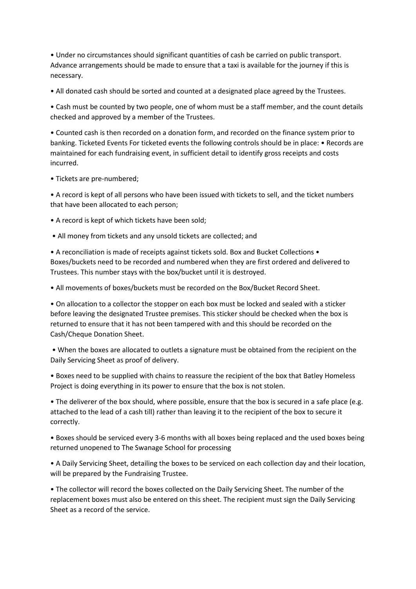• Under no circumstances should significant quantities of cash be carried on public transport. Advance arrangements should be made to ensure that a taxi is available for the journey if this is necessary.

• All donated cash should be sorted and counted at a designated place agreed by the Trustees.

• Cash must be counted by two people, one of whom must be a staff member, and the count details checked and approved by a member of the Trustees.

• Counted cash is then recorded on a donation form, and recorded on the finance system prior to banking. Ticketed Events For ticketed events the following controls should be in place: • Records are maintained for each fundraising event, in sufficient detail to identify gross receipts and costs incurred.

• Tickets are pre-numbered;

• A record is kept of all persons who have been issued with tickets to sell, and the ticket numbers that have been allocated to each person;

- A record is kept of which tickets have been sold;
- All money from tickets and any unsold tickets are collected; and

• A reconciliation is made of receipts against tickets sold. Box and Bucket Collections • Boxes/buckets need to be recorded and numbered when they are first ordered and delivered to Trustees. This number stays with the box/bucket until it is destroyed.

• All movements of boxes/buckets must be recorded on the Box/Bucket Record Sheet.

• On allocation to a collector the stopper on each box must be locked and sealed with a sticker before leaving the designated Trustee premises. This sticker should be checked when the box is returned to ensure that it has not been tampered with and this should be recorded on the Cash/Cheque Donation Sheet.

• When the boxes are allocated to outlets a signature must be obtained from the recipient on the Daily Servicing Sheet as proof of delivery.

• Boxes need to be supplied with chains to reassure the recipient of the box that Batley Homeless Project is doing everything in its power to ensure that the box is not stolen.

• The deliverer of the box should, where possible, ensure that the box is secured in a safe place (e.g. attached to the lead of a cash till) rather than leaving it to the recipient of the box to secure it correctly.

• Boxes should be serviced every 3-6 months with all boxes being replaced and the used boxes being returned unopened to The Swanage School for processing

• A Daily Servicing Sheet, detailing the boxes to be serviced on each collection day and their location, will be prepared by the Fundraising Trustee.

• The collector will record the boxes collected on the Daily Servicing Sheet. The number of the replacement boxes must also be entered on this sheet. The recipient must sign the Daily Servicing Sheet as a record of the service.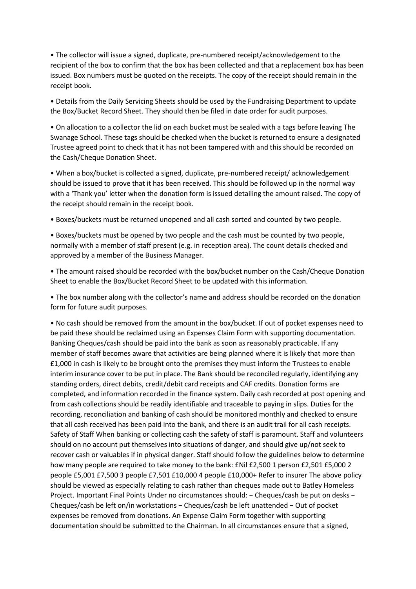• The collector will issue a signed, duplicate, pre-numbered receipt/acknowledgement to the recipient of the box to confirm that the box has been collected and that a replacement box has been issued. Box numbers must be quoted on the receipts. The copy of the receipt should remain in the receipt book.

• Details from the Daily Servicing Sheets should be used by the Fundraising Department to update the Box/Bucket Record Sheet. They should then be filed in date order for audit purposes.

• On allocation to a collector the lid on each bucket must be sealed with a tags before leaving The Swanage School. These tags should be checked when the bucket is returned to ensure a designated Trustee agreed point to check that it has not been tampered with and this should be recorded on the Cash/Cheque Donation Sheet.

• When a box/bucket is collected a signed, duplicate, pre-numbered receipt/ acknowledgement should be issued to prove that it has been received. This should be followed up in the normal way with a 'Thank you' letter when the donation form is issued detailing the amount raised. The copy of the receipt should remain in the receipt book.

• Boxes/buckets must be returned unopened and all cash sorted and counted by two people.

• Boxes/buckets must be opened by two people and the cash must be counted by two people, normally with a member of staff present (e.g. in reception area). The count details checked and approved by a member of the Business Manager.

• The amount raised should be recorded with the box/bucket number on the Cash/Cheque Donation Sheet to enable the Box/Bucket Record Sheet to be updated with this information.

• The box number along with the collector's name and address should be recorded on the donation form for future audit purposes.

• No cash should be removed from the amount in the box/bucket. If out of pocket expenses need to be paid these should be reclaimed using an Expenses Claim Form with supporting documentation. Banking Cheques/cash should be paid into the bank as soon as reasonably practicable. If any member of staff becomes aware that activities are being planned where it is likely that more than £1,000 in cash is likely to be brought onto the premises they must inform the Trustees to enable interim insurance cover to be put in place. The Bank should be reconciled regularly, identifying any standing orders, direct debits, credit/debit card receipts and CAF credits. Donation forms are completed, and information recorded in the finance system. Daily cash recorded at post opening and from cash collections should be readily identifiable and traceable to paying in slips. Duties for the recording, reconciliation and banking of cash should be monitored monthly and checked to ensure that all cash received has been paid into the bank, and there is an audit trail for all cash receipts. Safety of Staff When banking or collecting cash the safety of staff is paramount. Staff and volunteers should on no account put themselves into situations of danger, and should give up/not seek to recover cash or valuables if in physical danger. Staff should follow the guidelines below to determine how many people are required to take money to the bank: £Nil £2,500 1 person £2,501 £5,000 2 people £5,001 £7,500 3 people £7,501 £10,000 4 people £10,000+ Refer to insurer The above policy should be viewed as especially relating to cash rather than cheques made out to Batley Homeless Project. Important Final Points Under no circumstances should: − Cheques/cash be put on desks − Cheques/cash be left on/in workstations − Cheques/cash be left unattended − Out of pocket expenses be removed from donations. An Expense Claim Form together with supporting documentation should be submitted to the Chairman. In all circumstances ensure that a signed,